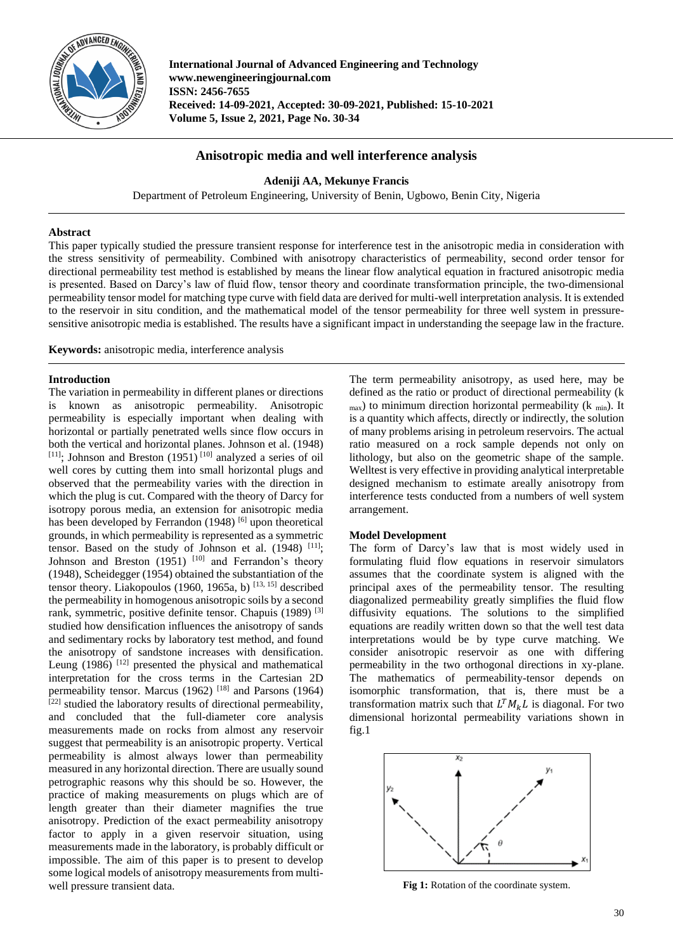

**International Journal of Advanced Engineering and Technology www.newengineeringjournal.com ISSN: 2456-7655 Received: 14-09-2021, Accepted: 30-09-2021, Published: 15-10-2021 Volume 5, Issue 2, 2021, Page No. 30-34**

# **Anisotropic media and well interference analysis**

## **Adeniji AA, Mekunye Francis**

Department of Petroleum Engineering, University of Benin, Ugbowo, Benin City, Nigeria

## **Abstract**

This paper typically studied the pressure transient response for interference test in the anisotropic media in consideration with the stress sensitivity of permeability. Combined with anisotropy characteristics of permeability, second order tensor for directional permeability test method is established by means the linear flow analytical equation in fractured anisotropic media is presented. Based on Darcy's law of fluid flow, tensor theory and coordinate transformation principle, the two-dimensional permeability tensor model for matching type curve with field data are derived for multi-well interpretation analysis. It is extended to the reservoir in situ condition, and the mathematical model of the tensor permeability for three well system in pressuresensitive anisotropic media is established. The results have a significant impact in understanding the seepage law in the fracture.

**Keywords:** anisotropic media, interference analysis

## **Introduction**

The variation in permeability in different planes or directions is known as anisotropic permeability. Anisotropic permeability is especially important when dealing with horizontal or partially penetrated wells since flow occurs in both the vertical and horizontal planes. Johnson et al. (1948)  $[11]$ ; Johnson and Breston (1951)<sup>[10]</sup> analyzed a series of oil well cores by cutting them into small horizontal plugs and observed that the permeability varies with the direction in which the plug is cut. Compared with the theory of Darcy for isotropy porous media, an extension for anisotropic media has been developed by Ferrandon (1948) <sup>[6]</sup> upon theoretical grounds, in which permeability is represented as a symmetric tensor. Based on the study of Johnson et al.  $(1948)$ <sup>[11]</sup>; Johnson and Breston (1951)<sup>[10]</sup> and Ferrandon's theory (1948), Scheidegger (1954) obtained the substantiation of the tensor theory. Liakopoulos (1960, 1965a, b)  $^{[13, 15]}$  described the permeability in homogenous anisotropic soils by a second rank, symmetric, positive definite tensor. Chapuis (1989) [3] studied how densification influences the anisotropy of sands and sedimentary rocks by laboratory test method, and found the anisotropy of sandstone increases with densification. Leung  $(1986)$ <sup>[12]</sup> presented the physical and mathematical interpretation for the cross terms in the Cartesian 2D permeability tensor. Marcus (1962)<sup>[18]</sup> and Parsons (1964)  $[22]$  studied the laboratory results of directional permeability, and concluded that the full-diameter core analysis measurements made on rocks from almost any reservoir suggest that permeability is an anisotropic property. Vertical permeability is almost always lower than permeability measured in any horizontal direction. There are usually sound petrographic reasons why this should be so. However, the practice of making measurements on plugs which are of length greater than their diameter magnifies the true anisotropy. Prediction of the exact permeability anisotropy factor to apply in a given reservoir situation, using measurements made in the laboratory, is probably difficult or impossible. The aim of this paper is to present to develop some logical models of anisotropy measurements from multiwell pressure transient data.

The term permeability anisotropy, as used here, may be defined as the ratio or product of directional permeability (k  $_{\text{max}}$ ) to minimum direction horizontal permeability (k  $_{\text{min}}$ ). It is a quantity which affects, directly or indirectly, the solution of many problems arising in petroleum reservoirs. The actual ratio measured on a rock sample depends not only on lithology, but also on the geometric shape of the sample. Welltest is very effective in providing analytical interpretable designed mechanism to estimate areally anisotropy from interference tests conducted from a numbers of well system arrangement.

## **Model Development**

The form of Darcy's law that is most widely used in formulating fluid flow equations in reservoir simulators assumes that the coordinate system is aligned with the principal axes of the permeability tensor. The resulting diagonalized permeability greatly simplifies the fluid flow diffusivity equations. The solutions to the simplified equations are readily written down so that the well test data interpretations would be by type curve matching. We consider anisotropic reservoir as one with differing permeability in the two orthogonal directions in xy-plane. The mathematics of permeability-tensor depends on isomorphic transformation, that is, there must be a transformation matrix such that  $L^T M_k L$  is diagonal. For two dimensional horizontal permeability variations shown in fig.1



Fig 1: Rotation of the coordinate system.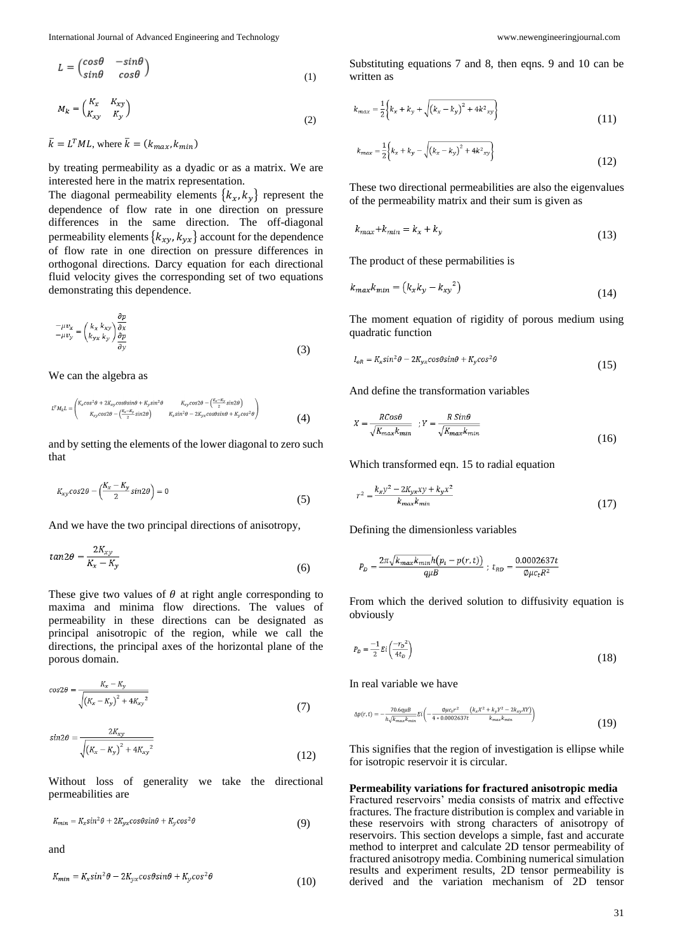International Journal of Advanced Engineering and Technology [www.newengineeringjournal.com](http://www.newengineeringjournal.com/)

$$
L = \begin{pmatrix} \cos\theta & -\sin\theta \\ \sin\theta & \cos\theta \end{pmatrix} \tag{1}
$$

$$
M_k = \begin{pmatrix} K_x & K_{xy} \\ K_{xy} & K_y \end{pmatrix} \tag{2}
$$

 $\bar{k} = L^T M L$ , where  $\bar{k} = (k_{max}, k_{min})$ 

by treating permeability as a dyadic or as a matrix. We are interested here in the matrix representation.

The diagonal permeability elements  $\{k_x, k_y\}$  represent the dependence of flow rate in one direction on pressure differences in the same direction. The off-diagonal permeability elements  $\{k_{xy}, k_{yx}\}$  account for the dependence of flow rate in one direction on pressure differences in orthogonal directions. Darcy equation for each directional fluid velocity gives the corresponding set of two equations demonstrating this dependence.

$$
-\mu v_x = \left(\frac{k_x k_{xy}}{k_{yx} k_y}\right) \frac{\partial p}{\partial x} \n\frac{\partial p}{\partial y}
$$
\n(3)

We can the algebra as

$$
L^T M_k L = \begin{pmatrix} K_x cos^2 \theta + 2K_{xy} cos \theta sin \theta + K_y sin^2 \theta & K_{xy} cos \theta - \left(\frac{K_x - K_y}{2} sin 2\theta\right) \\ K_{xy} cos 2\theta - \left(\frac{K_x - K_y}{2} sin 2\theta\right) & K_{xz} sin^2 \theta - 2K_{yx} cos \theta sin \theta + K_y cos^2 \theta \end{pmatrix}
$$
 (4)

and by setting the elements of the lower diagonal to zero such that

$$
K_{xy} \cos 2\theta - \left(\frac{K_x - K_y}{2} \sin 2\theta\right) = 0\tag{5}
$$

And we have the two principal directions of anisotropy,

$$
tan 2\theta = \frac{2K_{xy}}{K_x - K_y} \tag{6}
$$

These give two values of  $\theta$  at right angle corresponding to maxima and minima flow directions. The values of permeability in these directions can be designated as principal anisotropic of the region, while we call the directions, the principal axes of the horizontal plane of the porous domain.

$$
cos 2\theta = \frac{K_x - K_y}{\sqrt{(K_x - K_y)^2 + 4K_{xy}^2}}
$$
\n(7)

$$
sin 2\theta = \frac{2K_{xy}}{\sqrt{(K_x - K_y)^2 + 4K_{xy}^2}}
$$
\n(12)

Without loss of generality we take the directional permeabilities are

$$
K_{min} = K_x \sin^2 \theta + 2K_{yx} \cos \theta \sin \theta + K_y \cos^2 \theta \tag{9}
$$

and

$$
K_{min} = K_x \sin^2 \theta - 2K_{yx} \cos \theta \sin \theta + K_y \cos^2 \theta \tag{10}
$$

Substituting equations 7 and 8, then eqns. 9 and 10 can be written as

$$
k_{max} = \frac{1}{2} \left\{ k_x + k_y + \sqrt{\left(k_x - k_y\right)^2 + 4k^2_{xy}} \right\}
$$
\n(11)

$$
k_{max} = \frac{1}{2} \left\{ k_x + k_y - \sqrt{\left(k_x - k_y\right)^2 + 4k^2_{xy}} \right\}
$$
 (12)

These two directional permeabilities are also the eigenvalues of the permeability matrix and their sum is given as

$$
k_{max} + k_{min} = k_x + k_y \tag{13}
$$

The product of these permabilities is

$$
k_{max}k_{min} = (k_xk_y - k_{xy}^2) \tag{14}
$$

The moment equation of rigidity of porous medium using quadratic function

$$
I_{oR} = K_x \sin^2 \theta - 2K_{yx} \cos \theta \sin \theta + K_y \cos^2 \theta \tag{15}
$$

And define the transformation variables

$$
X = \frac{RCos\theta}{\sqrt{K_{max}K_{min}}} \quad ; Y = \frac{R \, Sin\theta}{\sqrt{K_{max}K_{min}}} \tag{16}
$$

Which transformed eqn. 15 to radial equation

$$
r^2 = \frac{k_x y^2 - 2K_{yx} xy + k_y x^2}{k_{max} k_{min}}
$$
\n
$$
(17)
$$

Defining the dimensionless variables

$$
P_D = \frac{2\pi\sqrt{k_{max}k_{min}}h(p_i - p(r, t))}{q\mu B}; \ t_{RD} = \frac{0.0002637t}{\emptyset\mu c_t R^2}
$$

From which the derived solution to diffusivity equation is obviously

$$
P_D = \frac{-1}{2} E i \left( \frac{-r_D^2}{4t_D} \right) \tag{18}
$$

In real variable we have

$$
\Delta p(r,t) = -\frac{70.6q\mu B}{h\sqrt{k_{max}k_{min}}} E\left(-\frac{9\mu c_{t}r^{2}}{4*0.0002637t}\frac{\left(k_{x}X^{2} + k_{y}Y^{2} - 2k_{xy}XY\right)}{k_{max}k_{min}}\right)
$$
(19)

This signifies that the region of investigation is ellipse while for isotropic reservoir it is circular.

**Permeability variations for fractured anisotropic media** Fractured reservoirs' media consists of matrix and effective fractures. The fracture distribution is complex and variable in these reservoirs with strong characters of anisotropy of reservoirs. This section develops a simple, fast and accurate method to interpret and calculate 2D tensor permeability of fractured anisotropy media. Combining numerical simulation results and experiment results, 2D tensor permeability is derived and the variation mechanism of 2D tensor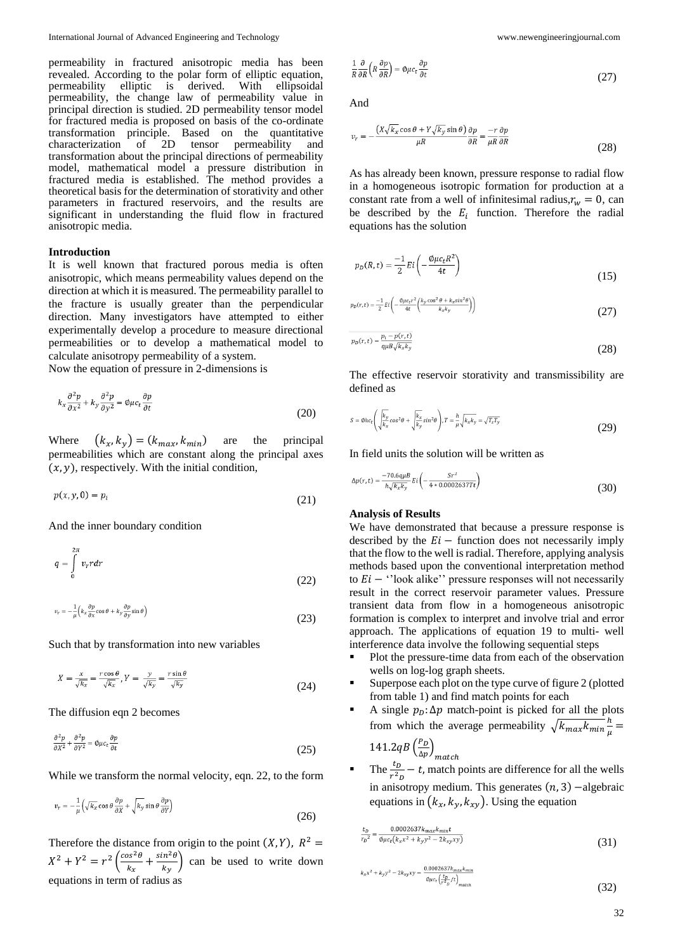permeability in fractured anisotropic media has been revealed. According to the polar form of elliptic equation, permeability elliptic is derived. With ellipsoidal permeability, the change law of permeability value in principal direction is studied. 2D permeability tensor model for fractured media is proposed on basis of the co-ordinate transformation principle. Based on the quantitative characterization of 2D tensor permeability and transformation about the principal directions of permeability model, mathematical model a pressure distribution in fractured media is established. The method provides a theoretical basis for the determination of storativity and other parameters in fractured reservoirs, and the results are significant in understanding the fluid flow in fractured anisotropic media.

### **Introduction**

It is well known that fractured porous media is often anisotropic, which means permeability values depend on the direction at which it is measured. The permeability parallel to the fracture is usually greater than the perpendicular direction. Many investigators have attempted to either experimentally develop a procedure to measure directional permeabilities or to develop a mathematical model to calculate anisotropy permeability of a system.

Now the equation of pressure in 2-dimensions is

$$
k_x \frac{\partial^2 p}{\partial x^2} + k_y \frac{\partial^2 p}{\partial y^2} = \phi \mu c_t \frac{\partial p}{\partial t}
$$
\n(20)

Where  $(k_x, k_y) = (k_{max}, k_{min})$  are the principal permeabilities which are constant along the principal axes  $(x, y)$ , respectively. With the initial condition,

$$
p(x, y, 0) = p_i \tag{21}
$$

And the inner boundary condition

$$
q = \int_{0}^{2\pi} v_r r dr \tag{22}
$$

$$
v_r = -\frac{1}{\mu} \left( k_x \frac{\partial p}{\partial x} \cos \theta + k_y \frac{\partial p}{\partial y} \sin \theta \right)
$$
 (23)

Such that by transformation into new variables

$$
X = \frac{x}{\sqrt{k_x}} = \frac{r\cos\theta}{\sqrt{k_x}}, Y = \frac{y}{\sqrt{k_y}} = \frac{r\sin\theta}{\sqrt{k_y}}
$$
(24)

The diffusion eqn 2 becomes

$$
\frac{\partial^2 p}{\partial X^2} + \frac{\partial^2 p}{\partial Y^2} = \phi \mu c_t \frac{\partial p}{\partial t}
$$
 (25)

While we transform the normal velocity, eqn. 22, to the form

$$
v_r = -\frac{1}{\mu} \left( \sqrt{k_x} \cos \theta \frac{\partial p}{\partial X} + \sqrt{k_y} \sin \theta \frac{\partial p}{\partial Y} \right)
$$
 (26)

Therefore the distance from origin to the point  $(X, Y)$ ,  $R^2 =$  $X^2 + Y^2 = r^2 \left( \frac{\cos^2 \theta}{r} \right)$  $\frac{\partial s^2 \theta}{\partial k_x} + \frac{\sin^2 \theta}{k_y}$  $\left(\frac{h}{k_y}\right)$  can be used to write down equations in term of radius as

$$
\frac{1}{R}\frac{\partial}{\partial R}\left(R\frac{\partial p}{\partial R}\right) = \phi\mu c_t \frac{\partial p}{\partial t}
$$
\n(27)

And

$$
\nu_r = -\frac{(X\sqrt{k_x}\cos\theta + Y\sqrt{k_y}\sin\theta)}{\mu R}\frac{\partial p}{\partial R} = -\frac{r}{\mu R}\frac{\partial p}{\partial R}
$$
(28)

As has already been known, pressure response to radial flow in a homogeneous isotropic formation for production at a constant rate from a well of infinitesimal radius,  $r_w = 0$ , can be described by the  $E_i$  function. Therefore the radial equations has the solution

$$
p_D(R,t) = \frac{-1}{2} E i \left( -\frac{\phi \mu c_t R^2}{4t} \right) \tag{15}
$$

$$
p_D(r,t) = \frac{-1}{2} E i \left( -\frac{\theta \mu c_t r^2}{4t} \left( \frac{k_y \cos^2 \theta + k_x \sin^2 \theta}{k_x k_y} \right) \right)
$$
(27)

$$
p_D(r,t) = \frac{p_i - p(r,t)}{q\mu B \sqrt{k_x k_y}}
$$
\n(28)

The effective reservoir storativity and transmissibility are defined as

$$
s = \phi h c_t \left( \sqrt{\frac{k_y}{k_x}} \cos^2 \theta + \sqrt{\frac{k_x}{k_y}} \sin^2 \theta \right), \quad r = \frac{h}{\mu} \sqrt{k_x k_y} = \sqrt{T_x T_y} \tag{29}
$$

In field units the solution will be written as

$$
\Delta p(r,t) = \frac{-70.6q\mu B}{h\sqrt{k_x k_y}} Ei\left(-\frac{Sr^2}{4*0.0002637Tt}\right)
$$
\n(30)

### **Analysis of Results**

We have demonstrated that because a pressure response is described by the  $E_i$  – function does not necessarily imply that the flow to the well is radial. Therefore, applying analysis methods based upon the conventional interpretation method to  $E_i -$  ''look alike'' pressure responses will not necessarily result in the correct reservoir parameter values. Pressure transient data from flow in a homogeneous anisotropic formation is complex to interpret and involve trial and error approach. The applications of equation 19 to multi- well interference data involve the following sequential steps

- Plot the pressure-time data from each of the observation wells on log-log graph sheets.
- Superpose each plot on the type curve of figure 2 (plotted from table 1) and find match points for each
- A single  $p<sub>p</sub>$ :  $\Delta p$  match-point is picked for all the plots from which the average permeability  $\sqrt{k_{max}k_{min}}\frac{h}{n}$  $\frac{\pi}{\mu} =$

141.2qB $\left(\frac{P_D}{4\pi}\right)$  $\frac{r_D}{\Delta p}\Big)_{match}$ 

The  $\frac{t_D}{r^2 D} - t$ , match points are difference for all the wells in anisotropy medium. This generates  $(n, 3)$  –algebraic equations in  $(k_x, k_y, k_{xy})$ . Using the equation

$$
\frac{t_D}{r_D^2} = \frac{0.0002637k_{max}k_{min}t}{\phi \mu c_t (k_x x^2 + k_y y^2 - 2k_{xy}xy)}
$$
(31)

$$
k_{x}x^{2} + k_{y}y^{2} - 2k_{xy}xy = \frac{0.0002637k_{max}k_{min}}{\phi\mu c_{t}\left(\frac{t_{p}}{r^{2}}/t\right)_{match}}
$$
\n(32)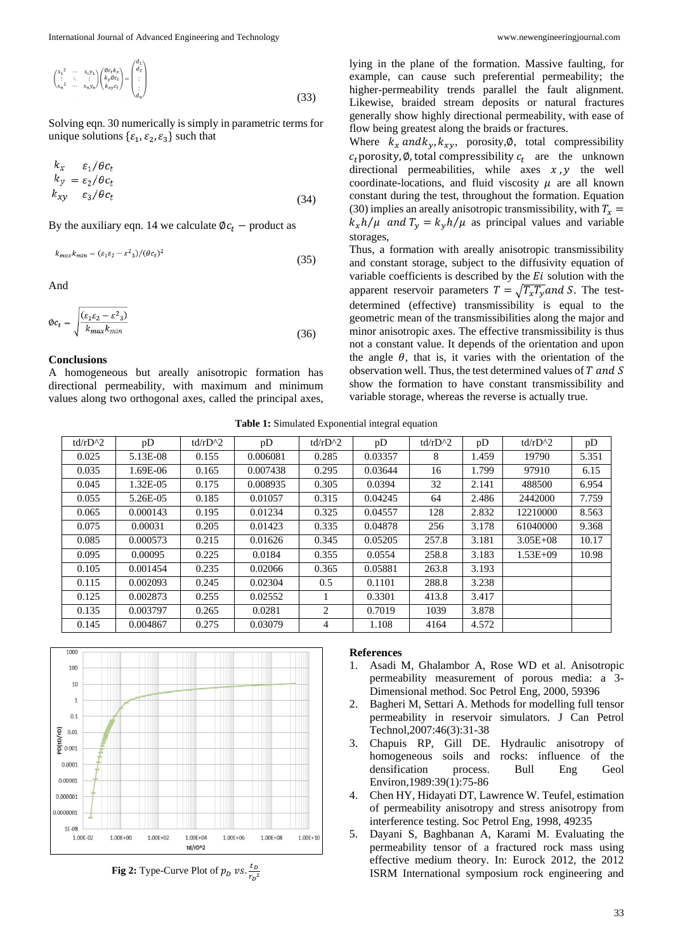$$
\begin{pmatrix} x_1^2 & \cdots & x_i y_1 \\ \vdots & \ddots & \vdots \\ x_n^2 & \cdots & x_n y_n \end{pmatrix} \begin{pmatrix} \omega_{c_1} k_x \\ k_y \omega_{c_t} \\ k_{xy} c_t \end{pmatrix} = \begin{pmatrix} d_1 \\ d_2 \\ \vdots \\ d_n \end{pmatrix}
$$
 (33)

Solving eqn. 30 numerically is simply in parametric terms for unique solutions  $\{\varepsilon_1, \varepsilon_2, \varepsilon_3\}$  such that

$$
k_x = \varepsilon_1/\theta c_t \nk_y = \varepsilon_2/\theta c_t \nk_{xy} = \varepsilon_3/\theta c_t
$$
\n(34)

By the auxiliary eqn. 14 we calculate  $\phi c_t$  – product as

$$
k_{max}k_{min} = (\varepsilon_1 \varepsilon_2 - \varepsilon^2 \varepsilon_3) / (\theta c_t)^2 \tag{35}
$$

And

$$
\phi c_t = \sqrt{\frac{(\varepsilon_1 \varepsilon_2 - \varepsilon^2 \cdot 3)}{k_{max} k_{min}}}
$$
\n(36)

### **Conclusions**

A homogeneous but areally anisotropic formation has directional permeability, with maximum and minimum values along two orthogonal axes, called the principal axes,

lying in the plane of the formation. Massive faulting, for example, can cause such preferential permeability; the higher-permeability trends parallel the fault alignment. Likewise, braided stream deposits or natural fractures generally show highly directional permeability, with ease of flow being greatest along the braids or fractures.

Where  $k_x$  and  $k_y$ ,  $k_{xy}$ , porosity, $\varnothing$ , total compressibility  $c_t$  porosity, Ø, total compressibility  $c_t$  are the unknown directional permeabilities, while axes  $x, y$  the well coordinate-locations, and fluid viscosity  $\mu$  are all known constant during the test, throughout the formation. Equation (30) implies an areally anisotropic transmissibility, with  $T_x =$  $k_x h/\mu$  and  $T_y = k_y h/\mu$  as principal values and variable storages,

Thus, a formation with areally anisotropic transmissibility and constant storage, subject to the diffusivity equation of variable coefficients is described by the  $Ei$  solution with the apparent reservoir parameters  $T = \sqrt{T_x T_y}$  and S. The testdetermined (effective) transmissibility is equal to the geometric mean of the transmissibilities along the major and minor anisotropic axes. The effective transmissibility is thus not a constant value. It depends of the orientation and upon the angle  $\theta$ , that is, it varies with the orientation of the observation well. Thus, the test determined values of T and S show the formation to have constant transmissibility and variable storage, whereas the reverse is actually true.

#### **Table 1:** Simulated Exponential integral equation

| td/rD $^{\prime}$ 2 | pD       | td/rD $^{\wedge}2$ | pD       | td/rD $^{\wedge}2$ | pD      | td/rD $^{\wedge}2$ | pD    | td/rD $^{\wedge}2$ | pD    |
|---------------------|----------|--------------------|----------|--------------------|---------|--------------------|-------|--------------------|-------|
| 0.025               | 5.13E-08 | 0.155              | 0.006081 | 0.285              | 0.03357 | 8                  | 1.459 | 19790              | 5.351 |
| 0.035               | 1.69E-06 | 0.165              | 0.007438 | 0.295              | 0.03644 | 16                 | 1.799 | 97910              | 6.15  |
| 0.045               | 1.32E-05 | 0.175              | 0.008935 | 0.305              | 0.0394  | 32                 | 2.141 | 488500             | 6.954 |
| 0.055               | 5.26E-05 | 0.185              | 0.01057  | 0.315              | 0.04245 | 64                 | 2.486 | 2442000            | 7.759 |
| 0.065               | 0.000143 | 0.195              | 0.01234  | 0.325              | 0.04557 | 128                | 2.832 | 12210000           | 8.563 |
| 0.075               | 0.00031  | 0.205              | 0.01423  | 0.335              | 0.04878 | 256                | 3.178 | 61040000           | 9.368 |
| 0.085               | 0.000573 | 0.215              | 0.01626  | 0.345              | 0.05205 | 257.8              | 3.181 | $3.05E + 08$       | 10.17 |
| 0.095               | 0.00095  | 0.225              | 0.0184   | 0.355              | 0.0554  | 258.8              | 3.183 | $1.53E + 09$       | 10.98 |
| 0.105               | 0.001454 | 0.235              | 0.02066  | 0.365              | 0.05881 | 263.8              | 3.193 |                    |       |
| 0.115               | 0.002093 | 0.245              | 0.02304  | 0.5                | 0.1101  | 288.8              | 3.238 |                    |       |
| 0.125               | 0.002873 | 0.255              | 0.02552  |                    | 0.3301  | 413.8              | 3.417 |                    |       |
| 0.135               | 0.003797 | 0.265              | 0.0281   | $\overline{2}$     | 0.7019  | 1039               | 3.878 |                    |       |
| 0.145               | 0.004867 | 0.275              | 0.03079  | 4                  | 1.108   | 4164               | 4.572 |                    |       |



**Fig 2:** Type-Curve Plot of  $p_D$  vs.  $\frac{t_D}{R}$  $r_D^2$ 

#### **References**

- 1. Asadi M, Ghalambor A, Rose WD et al. Anisotropic permeability measurement of porous media: a 3- Dimensional method. Soc Petrol Eng, 2000, 59396
- 2. Bagheri M, Settari A. Methods for modelling full tensor permeability in reservoir simulators. J Can Petrol Technol,2007:46(3):31-38
- 3. Chapuis RP, Gill DE. Hydraulic anisotropy of homogeneous soils and rocks: influence of the densification process. Bull Eng Geol Environ,1989:39(1):75-86
- 4. Chen HY, Hidayati DT, Lawrence W. Teufel, estimation of permeability anisotropy and stress anisotropy from interference testing. Soc Petrol Eng, 1998, 49235
- 5. Dayani S, Baghbanan A, Karami M. Evaluating the permeability tensor of a fractured rock mass using effective medium theory. In: Eurock 2012, the 2012 ISRM International symposium rock engineering and